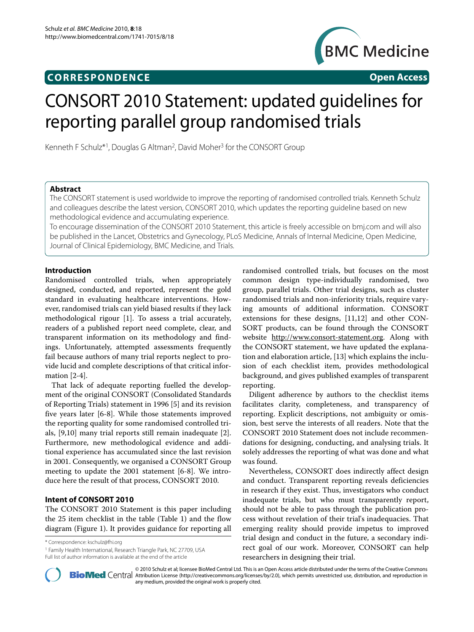## **CORRESPONDENCE Open Access**



# CONSORT 2010 Statement: updated guidelines for reporting parallel group randomised trials

Kenneth F Schulz\*1, Douglas G Altman2, David Moher3 for the CONSORT Group

## **Abstract**

The CONSORT statement is used worldwide to improve the reporting of randomised controlled trials. Kenneth Schulz and colleagues describe the latest version, CONSORT 2010, which updates the reporting guideline based on new methodological evidence and accumulating experience.

To encourage dissemination of the CONSORT 2010 Statement, this article is freely accessible on bmj.com and will also be published in the Lancet, Obstetrics and Gynecology, PLoS Medicine, Annals of Internal Medicine, Open Medicine, Journal of Clinical Epidemiology, BMC Medicine, and Trials.

## **Introduction**

Randomised controlled trials, when appropriately designed, conducted, and reported, represent the gold standard in evaluating healthcare interventions. However, randomised trials can yield biased results if they lack methodological rigour [\[1](#page-7-0)]. To assess a trial accurately, readers of a published report need complete, clear, and transparent information on its methodology and findings. Unfortunately, attempted assessments frequently fail because authors of many trial reports neglect to provide lucid and complete descriptions of that critical information [\[2](#page-7-1)-[4\]](#page-7-2).

That lack of adequate reporting fuelled the development of the original CONSORT (Consolidated Standards of Reporting Trials) statement in 1996 [[5\]](#page-7-3) and its revision five years later [\[6](#page-7-4)[-8\]](#page-8-0). While those statements improved the reporting quality for some randomised controlled trials, [\[9](#page-8-1),[10](#page-8-2)] many trial reports still remain inadequate [\[2](#page-7-1)]. Furthermore, new methodological evidence and additional experience has accumulated since the last revision in 2001. Consequently, we organised a CONSORT Group meeting to update the 2001 statement [\[6](#page-7-4)-[8\]](#page-8-0). We introduce here the result of that process, CONSORT 2010.

## **Intent of CONSORT 2010**

The CONSORT 2010 Statement is this paper including the 25 item checklist in the table (Table 1) and the flow diagram (Figure [1\)](#page-4-0). It provides guidance for reporting all

\* Correspondence: kschulz@fhi.org

1 Family Health International, Research Triangle Park, NC 27709, USA Full list of author information is available at the end of the article

randomised controlled trials, but focuses on the most common design type-individually randomised, two group, parallel trials. Other trial designs, such as cluster randomised trials and non-inferiority trials, require varying amounts of additional information. CONSORT extensions for these designs, [\[11](#page-8-3)[,12](#page-8-4)] and other CON-SORT products, can be found through the CONSORT website <http://www.consort-statement.org>. Along with the CONSORT statement, we have updated the explanation and elaboration article, [\[13](#page-8-5)] which explains the inclusion of each checklist item, provides methodological background, and gives published examples of transparent reporting.

Diligent adherence by authors to the checklist items facilitates clarity, completeness, and transparency of reporting. Explicit descriptions, not ambiguity or omission, best serve the interests of all readers. Note that the CONSORT 2010 Statement does not include recommendations for designing, conducting, and analysing trials. It solely addresses the reporting of what was done and what was found.

Nevertheless, CONSORT does indirectly affect design and conduct. Transparent reporting reveals deficiencies in research if they exist. Thus, investigators who conduct inadequate trials, but who must transparently report, should not be able to pass through the publication process without revelation of their trial's inadequacies. That emerging reality should provide impetus to improved trial design and conduct in the future, a secondary indirect goal of our work. Moreover, CONSORT can help researchers in designing their trial.



2010 Schulz et al; licensee [BioMed](http://www.biomedcentral.com/) Central Ltd. This is an Open Access article distributed under the terms of the Creative Commons (http://creativecommons.org/licenses/by/2.0), which permits unrestricted use, distribution, any medium, provided the original work is properly cited.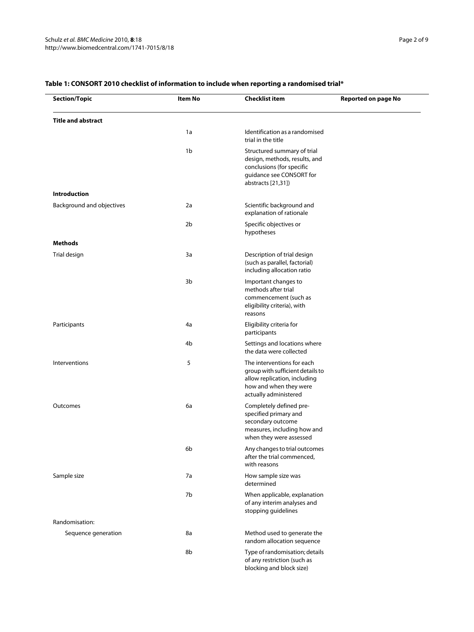**Section/Topic** 

**Introduction**

**Methods** Trial design

Background and objectives

**Title and abstract**

| <b>Item No</b> | <b>Checklist item</b>                                                                                                                       | <b>Reported on page No</b> |  |
|----------------|---------------------------------------------------------------------------------------------------------------------------------------------|----------------------------|--|
| 1a             | Identification as a randomised<br>trial in the title                                                                                        |                            |  |
| 1 <sub>b</sub> | Structured summary of trial<br>design, methods, results, and<br>conclusions (for specific<br>guidance see CONSORT for<br>abstracts [21,31]) |                            |  |
| 2a             | Scientific background and<br>explanation of rationale                                                                                       |                            |  |
| 2b             | Specific objectives or<br>hypotheses                                                                                                        |                            |  |
| 3a             | Description of trial design<br>(such as parallel, factorial)<br>including allocation ratio                                                  |                            |  |
| 3b             | Important changes to<br>methods after trial<br>commencement (such as<br>eligibility criteria), with                                         |                            |  |

reasons

participants 4b Settings and locations where

the data were collected

group with sufficient details to

## Table 1: CONSORT 2010 checklist

|                     |    | allow replication, including<br>how and when they were<br>actually administered                                                 |
|---------------------|----|---------------------------------------------------------------------------------------------------------------------------------|
| Outcomes            | 6a | Completely defined pre-<br>specified primary and<br>secondary outcome<br>measures, including how and<br>when they were assessed |
|                     | 6b | Any changes to trial outcomes<br>after the trial commenced,<br>with reasons                                                     |
| Sample size         | 7a | How sample size was<br>determined                                                                                               |
|                     | 7b | When applicable, explanation<br>of any interim analyses and<br>stopping guidelines                                              |
| Randomisation:      |    |                                                                                                                                 |
| Sequence generation | 8a | Method used to generate the<br>random allocation sequence                                                                       |
|                     | 8b | Type of randomisation; details<br>of any restriction (such as<br>blocking and block size)                                       |

Participants 4a Eligibility criteria for

Interventions **Interventions 1** The interventions for each **1** The interventions for each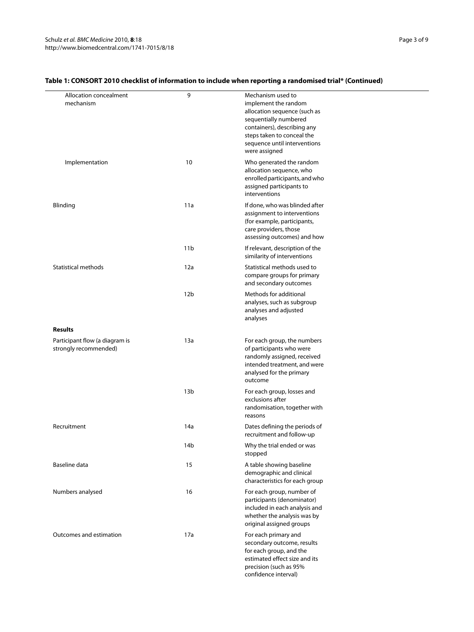| Allocation concealment<br>mechanism                     | 9               | Mechanism used to<br>implement the random<br>allocation sequence (such as<br>sequentially numbered<br>containers), describing any<br>steps taken to conceal the<br>sequence until interventions<br>were assigned |
|---------------------------------------------------------|-----------------|------------------------------------------------------------------------------------------------------------------------------------------------------------------------------------------------------------------|
| Implementation                                          | 10              | Who generated the random<br>allocation sequence, who<br>enrolled participants, and who<br>assigned participants to<br>interventions                                                                              |
| Blinding                                                | 11a             | If done, who was blinded after<br>assignment to interventions<br>(for example, participants,<br>care providers, those<br>assessing outcomes) and how                                                             |
|                                                         | 11 <sub>b</sub> | If relevant, description of the<br>similarity of interventions                                                                                                                                                   |
| Statistical methods                                     | 12a             | Statistical methods used to<br>compare groups for primary<br>and secondary outcomes                                                                                                                              |
|                                                         | 12 <sub>b</sub> | Methods for additional<br>analyses, such as subgroup<br>analyses and adjusted<br>analyses                                                                                                                        |
| <b>Results</b>                                          |                 |                                                                                                                                                                                                                  |
| Participant flow (a diagram is<br>strongly recommended) | 13a             | For each group, the numbers<br>of participants who were<br>randomly assigned, received<br>intended treatment, and were<br>analysed for the primary<br>outcome                                                    |
|                                                         | 13 <sub>b</sub> | For each group, losses and<br>exclusions after<br>randomisation, together with<br>reasons                                                                                                                        |
| Recruitment                                             | 14a             | Dates defining the periods of<br>recruitment and follow-up                                                                                                                                                       |
|                                                         | 14b             | Why the trial ended or was<br>stopped                                                                                                                                                                            |
| Baseline data                                           | 15              | A table showing baseline<br>demographic and clinical<br>characteristics for each group                                                                                                                           |
| Numbers analysed                                        | 16              | For each group, number of<br>participants (denominator)<br>included in each analysis and<br>whether the analysis was by<br>original assigned groups                                                              |
| Outcomes and estimation                                 | 17a             | For each primary and<br>secondary outcome, results<br>for each group, and the<br>estimated effect size and its<br>precision (such as 95%<br>confidence interval)                                                 |

## **Table 1: CONSORT 2010 checklist of information to include when reporting a randomised trial\* (Continued)**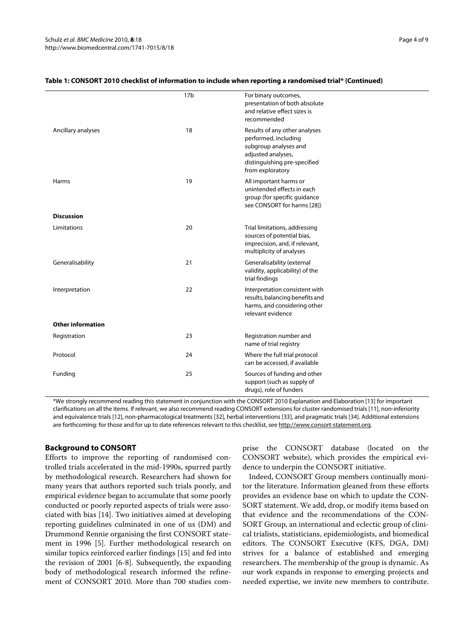|                          | 17 <sub>b</sub> | For binary outcomes,<br>presentation of both absolute<br>and relative effect sizes is<br>recommended                                                     |
|--------------------------|-----------------|----------------------------------------------------------------------------------------------------------------------------------------------------------|
| Ancillary analyses       | 18              | Results of any other analyses<br>performed, including<br>subgroup analyses and<br>adjusted analyses,<br>distinguishing pre-specified<br>from exploratory |
| Harms                    | 19              | All important harms or<br>unintended effects in each<br>group (for specific guidance<br>see CONSORT for harms [28])                                      |
| <b>Discussion</b>        |                 |                                                                                                                                                          |
| Limitations              | 20              | Trial limitations, addressing<br>sources of potential bias,<br>imprecision, and, if relevant,<br>multiplicity of analyses                                |
| Generalisability         | 21              | Generalisability (external<br>validity, applicability) of the<br>trial findings                                                                          |
| Interpretation           | 22              | Interpretation consistent with<br>results, balancing benefits and<br>harms, and considering other<br>relevant evidence                                   |
| <b>Other information</b> |                 |                                                                                                                                                          |
| Registration             | 23              | Registration number and<br>name of trial registry                                                                                                        |
| Protocol                 | 24              | Where the full trial protocol<br>can be accessed, if available                                                                                           |
| Funding                  | 25              | Sources of funding and other<br>support (such as supply of<br>drugs), role of funders                                                                    |

#### **Table 1: CONSORT 2010 checklist of information to include when reporting a randomised trial\* (Continued)**

\*We strongly recommend reading this statement in conjunction with the CONSORT 2010 Explanation and Elaboration [\[13\]](#page-8-5) for important clarifications on all the items. If relevant, we also recommend reading CONSORT extensions for cluster randomised trials [\[11](#page-8-3)], non-inferiority and equivalence trials [\[12](#page-8-4)], non-pharmacological treatments [\[32](#page-8-9)], herbal interventions [\[33](#page-8-10)], and pragmatic trials [\[34\]](#page-8-11). Additional extensions are forthcoming: for those and for up to date references relevant to this checklist, see [http://www.consort-statement.org.](http://www.consort-statement.org)

## **Background to CONSORT**

Efforts to improve the reporting of randomised controlled trials accelerated in the mid-1990s, spurred partly by methodological research. Researchers had shown for many years that authors reported such trials poorly, and empirical evidence began to accumulate that some poorly conducted or poorly reported aspects of trials were associated with bias [[14\]](#page-8-12). Two initiatives aimed at developing reporting guidelines culminated in one of us (DM) and Drummond Rennie organising the first CONSORT statement in 1996 [\[5](#page-7-3)]. Further methodological research on similar topics reinforced earlier findings [[15\]](#page-8-13) and fed into the revision of 2001 [[6](#page-7-4)[-8](#page-8-0)]. Subsequently, the expanding body of methodological research informed the refinement of CONSORT 2010. More than 700 studies comprise the CONSORT database (located on the CONSORT website), which provides the empirical evidence to underpin the CONSORT initiative.

Indeed, CONSORT Group members continually monitor the literature. Information gleaned from these efforts provides an evidence base on which to update the CON-SORT statement. We add, drop, or modify items based on that evidence and the recommendations of the CON-SORT Group, an international and eclectic group of clinical trialists, statisticians, epidemiologists, and biomedical editors. The CONSORT Executive (KFS, DGA, DM) strives for a balance of established and emerging researchers. The membership of the group is dynamic. As our work expands in response to emerging projects and needed expertise, we invite new members to contribute.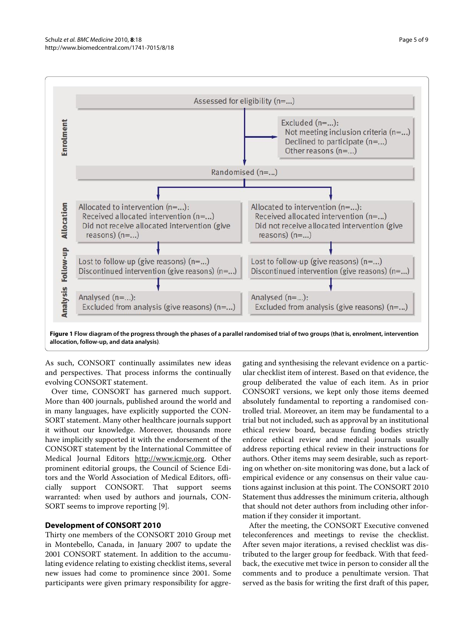<span id="page-4-0"></span>

**Figure 1 Flow diagram of the progress through the phases of a parallel randomised trial of two groups (that is, enrolment, intervention allocation, follow-up, and data analysis)**.

As such, CONSORT continually assimilates new ideas and perspectives. That process informs the continually evolving CONSORT statement.

Over time, CONSORT has garnered much support. More than 400 journals, published around the world and in many languages, have explicitly supported the CON-SORT statement. Many other healthcare journals support it without our knowledge. Moreover, thousands more have implicitly supported it with the endorsement of the CONSORT statement by the International Committee of Medical Journal Editors [http://www.icmje.org.](http://www.icmje.org) Other prominent editorial groups, the Council of Science Editors and the World Association of Medical Editors, officially support CONSORT. That support seems warranted: when used by authors and journals, CON-SORT seems to improve reporting [\[9](#page-8-1)].

#### **Development of CONSORT 2010**

Thirty one members of the CONSORT 2010 Group met in Montebello, Canada, in January 2007 to update the 2001 CONSORT statement. In addition to the accumulating evidence relating to existing checklist items, several new issues had come to prominence since 2001. Some participants were given primary responsibility for aggre-

gating and synthesising the relevant evidence on a particular checklist item of interest. Based on that evidence, the group deliberated the value of each item. As in prior CONSORT versions, we kept only those items deemed absolutely fundamental to reporting a randomised controlled trial. Moreover, an item may be fundamental to a trial but not included, such as approval by an institutional ethical review board, because funding bodies strictly enforce ethical review and medical journals usually address reporting ethical review in their instructions for authors. Other items may seem desirable, such as reporting on whether on-site monitoring was done, but a lack of empirical evidence or any consensus on their value cautions against inclusion at this point. The CONSORT 2010 Statement thus addresses the minimum criteria, although that should not deter authors from including other information if they consider it important.

After the meeting, the CONSORT Executive convened teleconferences and meetings to revise the checklist. After seven major iterations, a revised checklist was distributed to the larger group for feedback. With that feedback, the executive met twice in person to consider all the comments and to produce a penultimate version. That served as the basis for writing the first draft of this paper,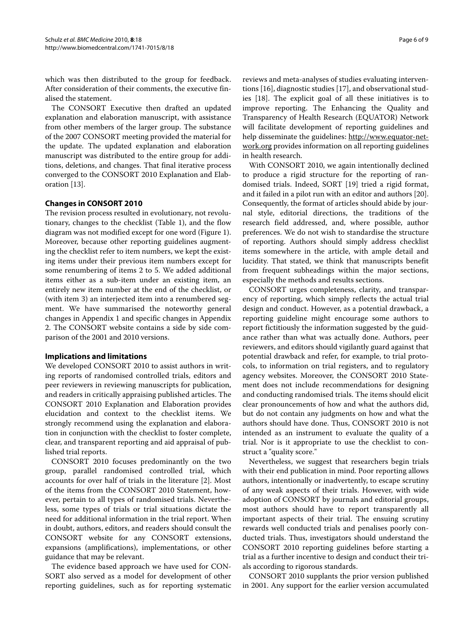which was then distributed to the group for feedback. After consideration of their comments, the executive finalised the statement.

The CONSORT Executive then drafted an updated explanation and elaboration manuscript, with assistance from other members of the larger group. The substance of the 2007 CONSORT meeting provided the material for the update. The updated explanation and elaboration manuscript was distributed to the entire group for additions, deletions, and changes. That final iterative process converged to the CONSORT 2010 Explanation and Elaboration [[13\]](#page-8-5).

## **Changes in CONSORT 2010**

The revision process resulted in evolutionary, not revolutionary, changes to the checklist (Table 1), and the flow diagram was not modified except for one word (Figure [1](#page-4-0)). Moreover, because other reporting guidelines augmenting the checklist refer to item numbers, we kept the existing items under their previous item numbers except for some renumbering of items 2 to 5. We added additional items either as a sub-item under an existing item, an entirely new item number at the end of the checklist, or (with item 3) an interjected item into a renumbered segment. We have summarised the noteworthy general changes in Appendix 1 and specific changes in Appendix 2. The CONSORT website contains a side by side comparison of the 2001 and 2010 versions.

## **Implications and limitations**

We developed CONSORT 2010 to assist authors in writing reports of randomised controlled trials, editors and peer reviewers in reviewing manuscripts for publication, and readers in critically appraising published articles. The CONSORT 2010 Explanation and Elaboration provides elucidation and context to the checklist items. We strongly recommend using the explanation and elaboration in conjunction with the checklist to foster complete, clear, and transparent reporting and aid appraisal of published trial reports.

CONSORT 2010 focuses predominantly on the two group, parallel randomised controlled trial, which accounts for over half of trials in the literature [[2\]](#page-7-1). Most of the items from the CONSORT 2010 Statement, however, pertain to all types of randomised trials. Nevertheless, some types of trials or trial situations dictate the need for additional information in the trial report. When in doubt, authors, editors, and readers should consult the CONSORT website for any CONSORT extensions, expansions (amplifications), implementations, or other guidance that may be relevant.

The evidence based approach we have used for CON-SORT also served as a model for development of other reporting guidelines, such as for reporting systematic

reviews and meta-analyses of studies evaluating interventions [\[16](#page-8-14)], diagnostic studies [\[17](#page-8-15)], and observational studies [[18](#page-8-16)]. The explicit goal of all these initiatives is to improve reporting. The Enhancing the Quality and Transparency of Health Research (EQUATOR) Network will facilitate development of reporting guidelines and help disseminate the guidelines: [http://www.equator-net](http://www.equator-network.org)[work.org](http://www.equator-network.org) provides information on all reporting guidelines in health research.

With CONSORT 2010, we again intentionally declined to produce a rigid structure for the reporting of randomised trials. Indeed, SORT [\[19\]](#page-8-17) tried a rigid format, and it failed in a pilot run with an editor and authors [\[20](#page-8-18)]. Consequently, the format of articles should abide by journal style, editorial directions, the traditions of the research field addressed, and, where possible, author preferences. We do not wish to standardise the structure of reporting. Authors should simply address checklist items somewhere in the article, with ample detail and lucidity. That stated, we think that manuscripts benefit from frequent subheadings within the major sections, especially the methods and results sections.

CONSORT urges completeness, clarity, and transparency of reporting, which simply reflects the actual trial design and conduct. However, as a potential drawback, a reporting guideline might encourage some authors to report fictitiously the information suggested by the guidance rather than what was actually done. Authors, peer reviewers, and editors should vigilantly guard against that potential drawback and refer, for example, to trial protocols, to information on trial registers, and to regulatory agency websites. Moreover, the CONSORT 2010 Statement does not include recommendations for designing and conducting randomised trials. The items should elicit clear pronouncements of how and what the authors did, but do not contain any judgments on how and what the authors should have done. Thus, CONSORT 2010 is not intended as an instrument to evaluate the quality of a trial. Nor is it appropriate to use the checklist to construct a "quality score."

Nevertheless, we suggest that researchers begin trials with their end publication in mind. Poor reporting allows authors, intentionally or inadvertently, to escape scrutiny of any weak aspects of their trials. However, with wide adoption of CONSORT by journals and editorial groups, most authors should have to report transparently all important aspects of their trial. The ensuing scrutiny rewards well conducted trials and penalises poorly conducted trials. Thus, investigators should understand the CONSORT 2010 reporting guidelines before starting a trial as a further incentive to design and conduct their trials according to rigorous standards.

CONSORT 2010 supplants the prior version published in 2001. Any support for the earlier version accumulated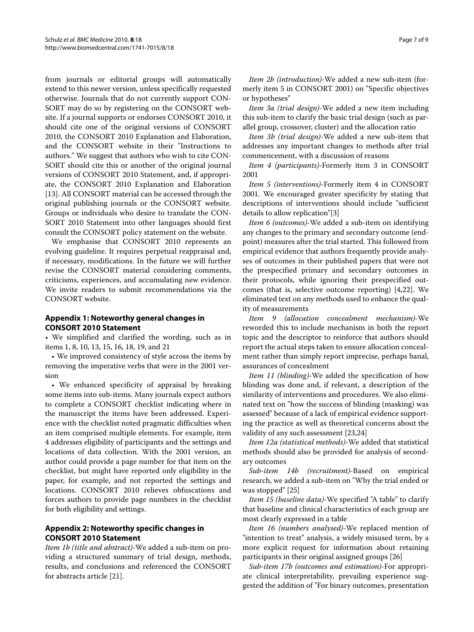from journals or editorial groups will automatically extend to this newer version, unless specifically requested otherwise. Journals that do not currently support CON-SORT may do so by registering on the CONSORT website. If a journal supports or endorses CONSORT 2010, it should cite one of the original versions of CONSORT 2010, the CONSORT 2010 Explanation and Elaboration, and the CONSORT website in their "Instructions to authors." We suggest that authors who wish to cite CON-SORT should cite this or another of the original journal versions of CONSORT 2010 Statement, and, if appropriate, the CONSORT 2010 Explanation and Elaboration [[13\]](#page-8-5). All CONSORT material can be accessed through the original publishing journals or the CONSORT website. Groups or individuals who desire to translate the CON-SORT 2010 Statement into other languages should first consult the CONSORT policy statement on the website.

We emphasise that CONSORT 2010 represents an evolving guideline. It requires perpetual reappraisal and, if necessary, modifications. In the future we will further revise the CONSORT material considering comments, criticisms, experiences, and accumulating new evidence. We invite readers to submit recommendations via the CONSORT website.

## **Appendix 1: Noteworthy general changes in CONSORT 2010 Statement**

• We simplified and clarified the wording, such as in items 1, 8, 10, 13, 15, 16, 18, 19, and 21

• We improved consistency of style across the items by removing the imperative verbs that were in the 2001 version

• We enhanced specificity of appraisal by breaking some items into sub-items. Many journals expect authors to complete a CONSORT checklist indicating where in the manuscript the items have been addressed. Experience with the checklist noted pragmatic difficulties when an item comprised multiple elements. For example, item 4 addresses eligibility of participants and the settings and locations of data collection. With the 2001 version, an author could provide a page number for that item on the checklist, but might have reported only eligibility in the paper, for example, and not reported the settings and locations. CONSORT 2010 relieves obfuscations and forces authors to provide page numbers in the checklist for both eligibility and settings.

## **Appendix 2: Noteworthy specific changes in CONSORT 2010 Statement**

*Item 1b (title and abstract)*-We added a sub-item on providing a structured summary of trial design, methods, results, and conclusions and referenced the CONSORT for abstracts article [[21\]](#page-8-6).

*Item 2b (introduction)*-We added a new sub-item (formerly item 5 in CONSORT 2001) on "Specific objectives or hypotheses"

*Item 3a (trial design)*-We added a new item including this sub-item to clarify the basic trial design (such as parallel group, crossover, cluster) and the allocation ratio

*Item 3b (trial design)*-We added a new sub-item that addresses any important changes to methods after trial commencement, with a discussion of reasons

*Item 4 (participants)*-Formerly item 3 in CONSORT 2001

*Item 5 (interventions)*-Formerly item 4 in CONSORT 2001. We encouraged greater specificity by stating that descriptions of interventions should include "sufficient details to allow replication"[\[3](#page-7-5)]

*Item 6 (outcomes)*-We added a sub-item on identifying any changes to the primary and secondary outcome (endpoint) measures after the trial started. This followed from empirical evidence that authors frequently provide analyses of outcomes in their published papers that were not the prespecified primary and secondary outcomes in their protocols, while ignoring their prespecified outcomes (that is, selective outcome reporting) [\[4](#page-7-2),[22](#page-8-19)]. We eliminated text on any methods used to enhance the quality of measurements

*Item 9 (allocation concealment mechanism)*-We reworded this to include mechanism in both the report topic and the descriptor to reinforce that authors should report the actual steps taken to ensure allocation concealment rather than simply report imprecise, perhaps banal, assurances of concealment

*Item 11 (blinding)*-We added the specification of how blinding was done and, if relevant, a description of the similarity of interventions and procedures. We also eliminated text on "how the success of blinding (masking) was assessed" because of a lack of empirical evidence supporting the practice as well as theoretical concerns about the validity of any such assessment [\[23](#page-8-20)[,24](#page-8-21)]

*Item 12a (statistical methods)*-We added that statistical methods should also be provided for analysis of secondary outcomes

*Sub-item 14b (recruitment)*-Based on empirical research, we added a sub-item on "Why the trial ended or was stopped" [[25\]](#page-8-22)

*Item 15 (baseline data)*-We specified "A table" to clarify that baseline and clinical characteristics of each group are most clearly expressed in a table

*Item 16 (numbers analysed)*-We replaced mention of "intention to treat" analysis, a widely misused term, by a more explicit request for information about retaining participants in their original assigned groups [[26\]](#page-8-23)

*Sub-item 17b (outcomes and estimation)*-For appropriate clinical interpretability, prevailing experience suggested the addition of "For binary outcomes, presentation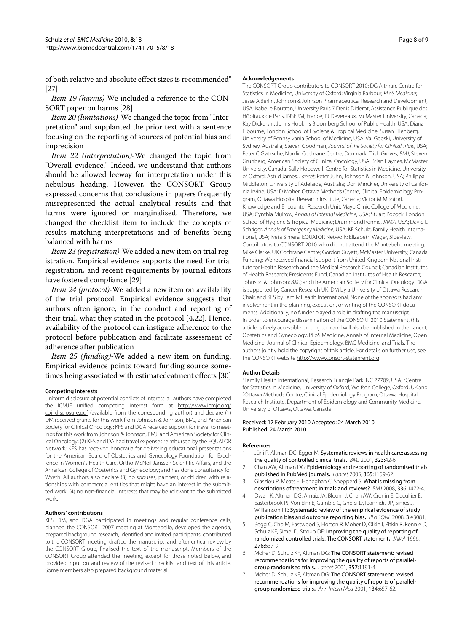of both relative and absolute effect sizes is recommended" [[27\]](#page-8-24)

*Item 19 (harms)*-We included a reference to the CON-SORT paper on harms [[28\]](#page-8-8)

*Item 20 (limitations)*-We changed the topic from "Interpretation" and supplanted the prior text with a sentence focusing on the reporting of sources of potential bias and imprecision

*Item 22 (interpretation)*-We changed the topic from "Overall evidence." Indeed, we understand that authors should be allowed leeway for interpretation under this nebulous heading. However, the CONSORT Group expressed concerns that conclusions in papers frequently misrepresented the actual analytical results and that harms were ignored or marginalised. Therefore, we changed the checklist item to include the concepts of results matching interpretations and of benefits being balanced with harms

*Item 23 (registration)*-We added a new item on trial registration. Empirical evidence supports the need for trial registration, and recent requirements by journal editors have fostered compliance [\[29](#page-8-25)]

*Item 24 (protocol)*-We added a new item on availability of the trial protocol. Empirical evidence suggests that authors often ignore, in the conduct and reporting of their trial, what they stated in the protocol [\[4](#page-7-2)[,22](#page-8-19)]. Hence, availability of the protocol can instigate adherence to the protocol before publication and facilitate assessment of adherence after publication

*Item 25 (funding)*-We added a new item on funding. Empirical evidence points toward funding source sometimes being associated with estimatedeatment effects [[30](#page-8-26)]

#### **Competing interests**

Uniform disclosure of potential conflicts of interest: all authors have completed the ICMJE unified competing interest form at [http://www.icmje.org/](http://www.icmje.org/coi_disclosure.pdf) [coi\\_disclosure.pdf](http://www.icmje.org/coi_disclosure.pdf) (available from the corresponding author) and declare (1) DM received grants for this work from Johnson & Johnson, BMJ, and American Society for Clinical Oncology; KFS and DGA received support for travel to meetings for this work from Johnson & Johnson, BMJ, and American Society for Clinical Oncology; (2) KFS and DA had travel expenses reimbursed by the EQUATOR Network; KFS has received honoraria for delivering educational presentations for the American Board of Obstetrics and Gynecology Foundation for Excellence in Women's Health Care, Ortho-McNeil Janssen Scientific Affairs, and the American College of Obstetrics and Gynecology; and has done consultancy for Wyeth. All authors also declare (3) no spouses, partners, or children with relationships with commercial entities that might have an interest in the submitted work; (4) no non-financial interests that may be relevant to the submitted work.

#### **Authors' contributions**

KFS, DM, and DGA participated in meetings and regular conference calls, planned the CONSORT 2007 meeting at Montebello, developed the agenda, prepared background research, identified and invited participants, contributed to the CONSORT meeting, drafted the manuscript, and, after critical review by the CONSORT Group, finalised the text of the manuscript. Members of the CONSORT Group attended the meeting, except for those noted below, and provided input on and review of the revised checklist and text of this article. Some members also prepared background material.

#### **Acknowledgements**

The CONSORT Group contributors to CONSORT 2010: DG Altman, Centre for Statistics in Medicine, University of Oxford; Virginia Barbour, PLoS Medicine; Jesse A Berlin, Johnson & Johnson Pharmaceutical Research and Development, USA; Isabelle Boutron, University Paris 7 Denis Diderot, Assistance Publique des Hôpitaux de Paris, INSERM, France; PJ Devereaux, McMaster University, Canada; Kay Dickersin, Johns Hopkins Bloomberg School of Public Health, USA; Diana Elbourne, London School of Hygiene & Tropical Medicine; Susan Ellenberg, University of Pennsylvania School of Medicine, USA; Val Gebski, University of Sydney, Australia; Steven Goodman, Journal of the Society for Clinical Trials, USA; Peter C Gøtzsche, Nordic Cochrane Centre, Denmark; Trish Groves, BMJ; Steven Grunberg, American Society of Clinical Oncology, USA; Brian Haynes, McMaster University, Canada; Sally Hopewell, Centre for Statistics in Medicine, University of Oxford; Astrid James, Lancet; Peter Juhn, Johnson & Johnson, USA; Philippa Middleton, University of Adelaide, Australia; Don Minckler, University of California Irvine, USA; D Moher, Ottawa Methods Centre, Clinical Epidemiology Program, Ottawa Hospital Research Institute, Canada; Victor M Montori, Knowledge and Encounter Research Unit, Mayo Clinic College of Medicine, USA; Cynthia Mulrow, Annals of Internal Medicine, USA; Stuart Pocock, London School of Hygiene & Tropical Medicine; Drummond Rennie, JAMA, USA; David L Schriger, Annals of Emergency Medicine, USA; KF Schulz, Family Health International, USA; Iveta Simera, EQUATOR Network; Elizabeth Wager, Sideview. Contributors to CONSORT 2010 who did not attend the Montebello meeting: Mike Clarke, UK Cochrane Centre; Gordon Guyatt, McMaster University, Canada. Funding: We received financial support from United Kingdom National Institute for Health Research and the Medical Research Council; Canadian Institutes of Health Research; Presidents Fund, Canadian Institutes of Health Research; Johnson & Johnson; BMJ; and the American Society for Clinical Oncology. DGA is supported by Cancer Research UK, DM by a University of Ottawa Research Chair, and KFS by Family Health International. None of the sponsors had any involvement in the planning, execution, or writing of the CONSORT documents. Additionally, no funder played a role in drafting the manuscript. In order to encourage dissemination of the CONSORT 2010 Statement, this article is freely accessible on bmj.com and will also be published in the Lancet, Obstetrics and Gynecology, PLoS Medicine, Annals of Internal Medicine, Open Medicine, Journal of Clinical Epidemiology, BMC Medicine, and Trials. The authors jointly hold the copyright of this article. For details on further use, see the CONSORT website [http://www.consort-statement.org.](http://www.consort-statement.org)

#### **Author Details**

1Family Health International, Research Triangle Park, NC 27709, USA, 2Centre for Statistics in Medicine, University of Oxford, Wolfson College, Oxford, UK and 3Ottawa Methods Centre, Clinical Epidemiology Program, Ottawa Hospital Research Institute, Department of Epidemiology and Community Medicine, University of Ottawa, Ottawa, Canada

#### Received: 17 February 2010 Accepted: 24 March 2010 Published: 24 March 2010

#### **References**

- <span id="page-7-0"></span>1. Jüni P, Altman DG, Egger M: Systematic reviews in health care: assessing the quality of controlled clinical trials**.** BMJ 2001, 323:42-6.
- <span id="page-7-1"></span>2. Chan AW, Altman DG: Epidemiology and reporting of randomised trials published in PubMed journals**.** Lancet 2005, 365:1159-62.
- <span id="page-7-5"></span>3. Glasziou P, Meats E, Heneghan C, Shepperd S: What is missing from descriptions of treatment in trials and reviews? BMJ 2008, 336:1472-4.
- <span id="page-7-2"></span>4. Dwan K, Altman DG, Arnaiz JA, Bloom J, Chan AW, Cronin E, Decullier E, Easterbrook PJ, Von Elm E, Gamble C, Ghersi D, Ioannidis JP, Simes J, Williamson PR: Systematic review of the empirical evidence of study publication bias and outcome reporting bias**.** PLoS ONE 2008, 3:e3081.
- <span id="page-7-3"></span>5. Begg C, Cho M, Eastwood S, Horton R, Moher D, Olkin I, Pitkin R, Rennie D, Schulz KE, Simel D, Stroup DF: Improving the quality of reporting of randomized controlled trials. The CONSORT statement**.** JAMA 1996, 276:637-9.
- <span id="page-7-4"></span>6. Moher D, Schulz KF, Altman DG: The CONSORT statement: revised recommendations for improving the quality of reports of parallelgroup randomised trials**[.](http://www.ncbi.nlm.nih.gov/entrez/query.fcgi?cmd=Retrieve&db=PubMed&dopt=Abstract&list_uids=11323066)** Lancet 2001, 357:1191-4.
- 7. Moher D, Schulz KF, Altman DG: The CONSORT statement: revised recommendations for improving the quality of reports of parallelgroup randomized trials**.** Ann Intern Med 2001, 134:657-62.